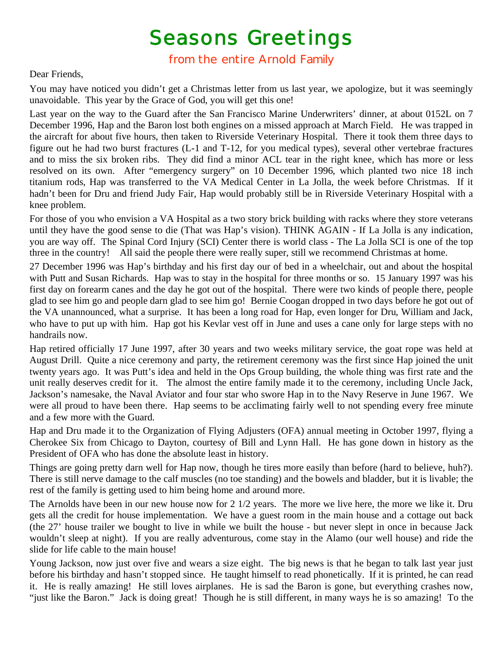## Seasons Greetings<br>from the entire Arnold Family

## Dear Friends,

You may have noticed you didn't get a Christmas letter from us last year, we apologize, but it was seemingly unavoidable. This year by the Grace of God, you will get this one!

Last year on the way to the Guard after the San Francisco Marine Underwriters' dinner, at about 0152L on 7 December 1996, Hap and the Baron lost both engines on a missed approach at March Field. He was trapped in the aircraft for about five hours, then taken to Riverside Veterinary Hospital. There it took them three days to figure out he had two burst fractures (L-1 and T-12, for you medical types), several other vertebrae fractures and to miss the six broken ribs. They did find a minor ACL tear in the right knee, which has more or less resolved on its own. After "emergency surgery" on 10 December 1996, which planted two nice 18 inch titanium rods, Hap was transferred to the VA Medical Center in La Jolla, the week before Christmas. If it hadn't been for Dru and friend Judy Fair, Hap would probably still be in Riverside Veterinary Hospital with a knee problem.

For those of you who envision a VA Hospital as a two story brick building with racks where they store veterans until they have the good sense to die (That was Hap's vision). THINK AGAIN - If La Jolla is any indication, you are way off. The Spinal Cord Injury (SCI) Center there is world class - The La Jolla SCI is one of the top three in the country! All said the people there were really super, still we recommend Christmas at home.

27 December 1996 was Hap's birthday and his first day our of bed in a wheelchair, out and about the hospital with Putt and Susan Richards. Hap was to stay in the hospital for three months or so. 15 January 1997 was his first day on forearm canes and the day he got out of the hospital. There were two kinds of people there, people glad to see him go and people darn glad to see him go! Bernie Coogan dropped in two days before he got out of the VA unannounced, what a surprise. It has been a long road for Hap, even longer for Dru, William and Jack, who have to put up with him. Hap got his Kevlar vest off in June and uses a cane only for large steps with no handrails now.

Hap retired officially 17 June 1997, after 30 years and two weeks military service, the goat rope was held at August Drill. Quite a nice ceremony and party, the retirement ceremony was the first since Hap joined the unit twenty years ago. It was Putt's idea and held in the Ops Group building, the whole thing was first rate and the unit really deserves credit for it. The almost the entire family made it to the ceremony, including Uncle Jack, Jackson's namesake, the Naval Aviator and four star who swore Hap in to the Navy Reserve in June 1967. We were all proud to have been there. Hap seems to be acclimating fairly well to not spending every free minute and a few more with the Guard.

Hap and Dru made it to the Organization of Flying Adjusters (OFA) annual meeting in October 1997, flying a Cherokee Six from Chicago to Dayton, courtesy of Bill and Lynn Hall. He has gone down in history as the President of OFA who has done the absolute least in history.

Things are going pretty darn well for Hap now, though he tires more easily than before (hard to believe, huh?). There is still nerve damage to the calf muscles (no toe standing) and the bowels and bladder, but it is livable; the rest of the family is getting used to him being home and around more.

The Arnolds have been in our new house now for 2 1/2 years. The more we live here, the more we like it. Dru gets all the credit for house implementation. We have a guest room in the main house and a cottage out back (the 27' house trailer we bought to live in while we built the house - but never slept in once in because Jack wouldn't sleep at night). If you are really adventurous, come stay in the Alamo (our well house) and ride the slide for life cable to the main house!

Young Jackson, now just over five and wears a size eight. The big news is that he began to talk last year just before his birthday and hasn't stopped since. He taught himself to read phonetically. If it is printed, he can read it. He is really amazing! He still loves airplanes. He is sad the Baron is gone, but everything crashes now, "just like the Baron." Jack is doing great! Though he is still different, in many ways he is so amazing! To the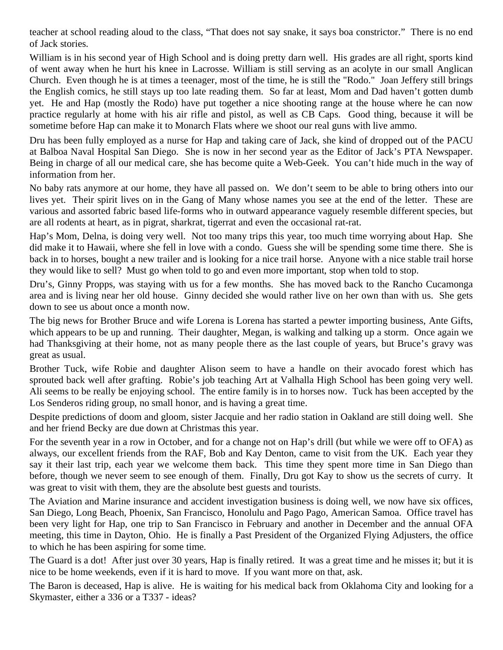teacher at school reading aloud to the class, "That does not say snake, it says boa constrictor." There is no end of Jack stories.

William is in his second year of High School and is doing pretty darn well. His grades are all right, sports kind of went away when he hurt his knee in Lacrosse. William is still serving as an acolyte in our small Anglican Church. Even though he is at times a teenager, most of the time, he is still the "Rodo." Joan Jeffery still brings the English comics, he still stays up too late reading them. So far at least, Mom and Dad haven't gotten dumb yet. He and Hap (mostly the Rodo) have put together a nice shooting range at the house where he can now practice regularly at home with his air rifle and pistol, as well as CB Caps. Good thing, because it will be sometime before Hap can make it to Monarch Flats where we shoot our real guns with live ammo.

Dru has been fully employed as a nurse for Hap and taking care of Jack, she kind of dropped out of the PACU at Balboa Naval Hospital San Diego. She is now in her second year as the Editor of Jack's PTA Newspaper. Being in charge of all our medical care, she has become quite a Web-Geek. You can't hide much in the way of information from her.

No baby rats anymore at our home, they have all passed on. We don't seem to be able to bring others into our lives yet. Their spirit lives on in the Gang of Many whose names you see at the end of the letter. These are various and assorted fabric based life-forms who in outward appearance vaguely resemble different species, but are all rodents at heart, as in pigrat, sharkrat, tigerrat and even the occasional rat-rat.

Hap's Mom, Delna, is doing very well. Not too many trips this year, too much time worrying about Hap. She did make it to Hawaii, where she fell in love with a condo. Guess she will be spending some time there. She is back in to horses, bought a new trailer and is looking for a nice trail horse. Anyone with a nice stable trail horse they would like to sell? Must go when told to go and even more important, stop when told to stop.

Dru's, Ginny Propps, was staying with us for a few months. She has moved back to the Rancho Cucamonga area and is living near her old house. Ginny decided she would rather live on her own than with us. She gets down to see us about once a month now.

The big news for Brother Bruce and wife Lorena is Lorena has started a pewter importing business, Ante Gifts, which appears to be up and running. Their daughter, Megan, is walking and talking up a storm. Once again we had Thanksgiving at their home, not as many people there as the last couple of years, but Bruce's gravy was great as usual.

Brother Tuck, wife Robie and daughter Alison seem to have a handle on their avocado forest which has sprouted back well after grafting. Robie's job teaching Art at Valhalla High School has been going very well. Ali seems to be really be enjoying school. The entire family is in to horses now. Tuck has been accepted by the Los Senderos riding group, no small honor, and is having a great time.

Despite predictions of doom and gloom, sister Jacquie and her radio station in Oakland are still doing well. She and her friend Becky are due down at Christmas this year.

For the seventh year in a row in October, and for a change not on Hap's drill (but while we were off to OFA) as always, our excellent friends from the RAF, Bob and Kay Denton, came to visit from the UK. Each year they say it their last trip, each year we welcome them back. This time they spent more time in San Diego than before, though we never seem to see enough of them. Finally, Dru got Kay to show us the secrets of curry. It was great to visit with them, they are the absolute best guests and tourists.

The Aviation and Marine insurance and accident investigation business is doing well, we now have six offices, San Diego, Long Beach, Phoenix, San Francisco, Honolulu and Pago Pago, American Samoa. Office travel has been very light for Hap, one trip to San Francisco in February and another in December and the annual OFA meeting, this time in Dayton, Ohio. He is finally a Past President of the Organized Flying Adjusters, the office to which he has been aspiring for some time.

The Guard is a dot! After just over 30 years, Hap is finally retired. It was a great time and he misses it; but it is nice to be home weekends, even if it is hard to move. If you want more on that, ask.

The Baron is deceased, Hap is alive. He is waiting for his medical back from Oklahoma City and looking for a Skymaster, either a 336 or a T337 - ideas?